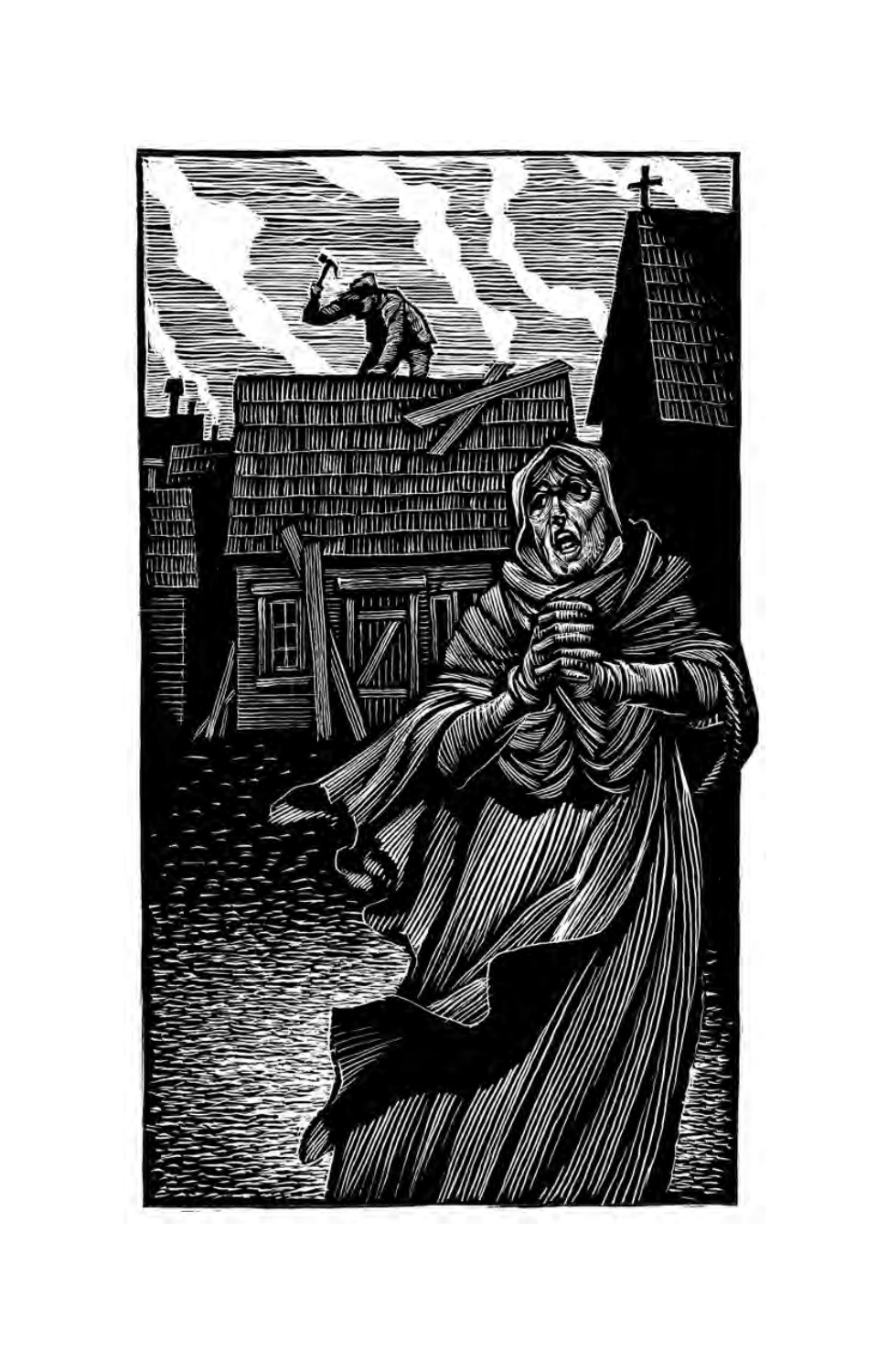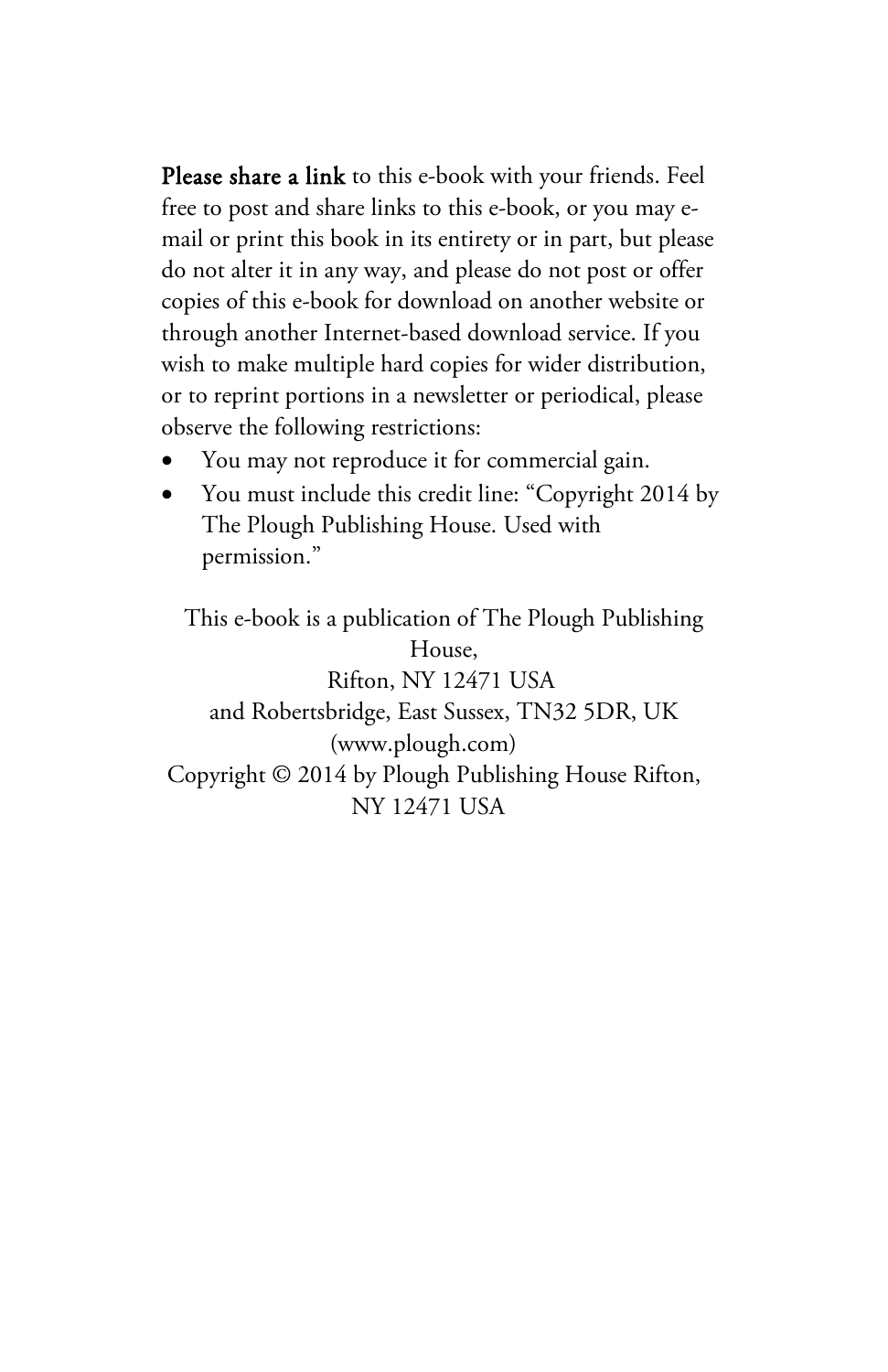copies of this e-book for download on another website or wish to make multiple hard copies for wider distribution, or to reprint portions in a newsletter or periodical, please observe the following restrictions: Please share a link to this e-book with your friends. Feel free to post and share links to this e-book, or you may email or print this book in its entirety or in part, but please do not alter it in any way, and please do not post or offer through another Internet-based download service. If you

- You may not reproduce it for commercial gain.
- The Plough Publishing House. Used with You must include this credit line: "Copyright 2014 by permission."

 This e-book is a publication of The Plough Publishing House, Rifton, NY 12471 USA and Robertsbridge, East Sussex, TN32 5DR, UK [\(www.plough.com\)](http://www.plough.com) Copyright © 2014 by Plough Publishing House Rifton, NY 12471 USA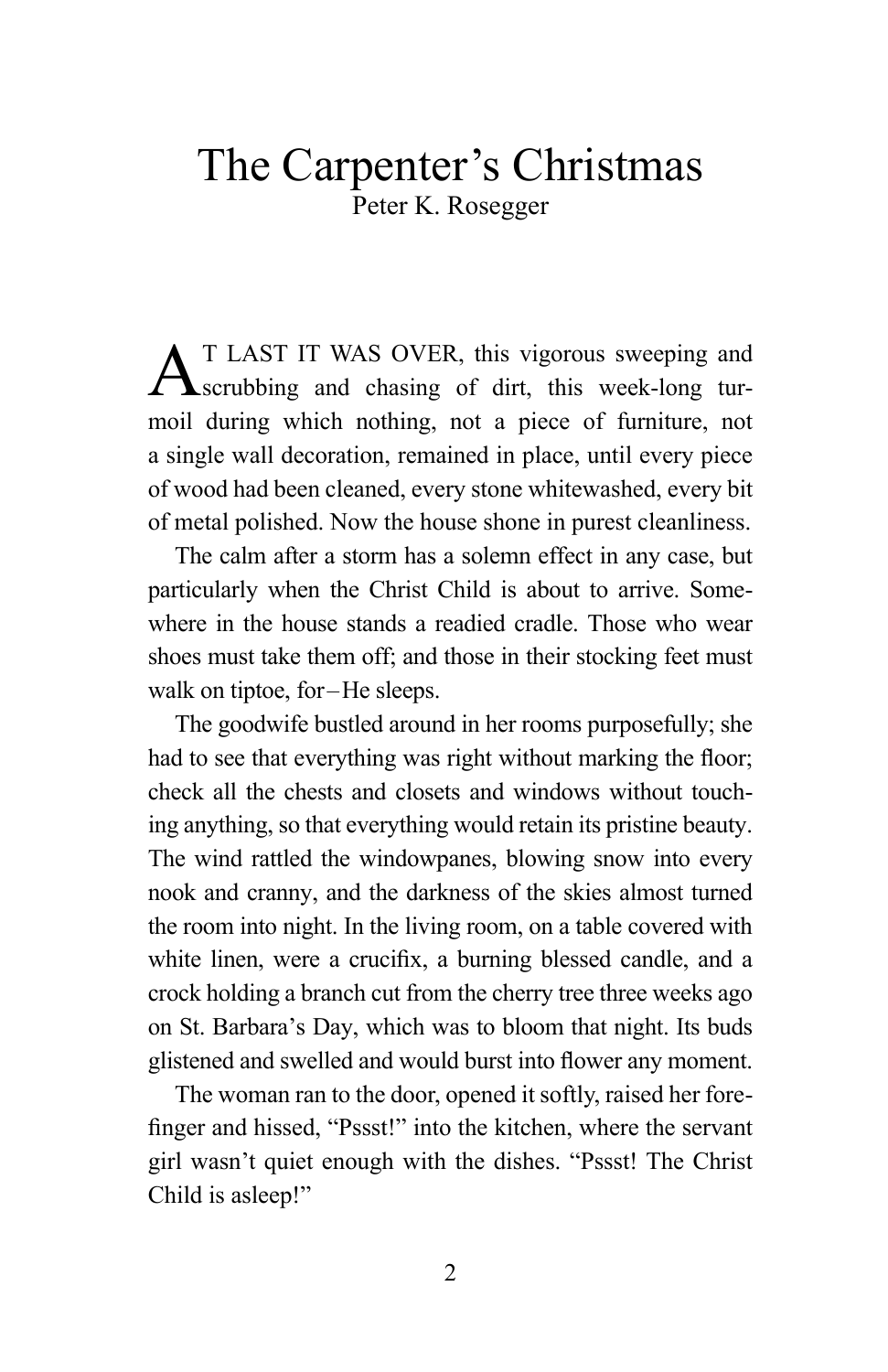## The Carpenter's Christmas Peter K. Rosegger

T LAST IT WAS OVER, this vigorous sweeping and **AT LAST IT WAS OVER**, this vigorous sweeping and scrubbing and chasing of dirt, this week-long tur- moil during which nothing, not a piece of furniture, not a single wall decoration, remained in place, until every piece of wood had been cleaned, every stone whitewashed, every bit of metal polished. Now the house shone in purest cleanliness.

 The calm after a storm has a solemn effect in any case, but particularly when the Christ Child is about to arrive. Some- where in the house stands a readied cradle. Those who wear shoes must take them off; and those in their stocking feet must walk on tiptoe, for–He sleeps.

 The goodwife bustled around in her rooms purposefully; she had to see that everything was right without marking the floor; check all the chests and closets and windows without touch- ing anything, so that everything would retain its pristine beauty. The wind rattled the windowpanes, blowing snow into every nook and cranny, and the darkness of the skies almost turned the room into night. In the living room, on a table covered with white linen, were a crucifix, a burning blessed candle, and a crock holding a branch cut from the cherry tree three weeks ago on St. Barbara's Day, which was to bloom that night. Its buds glistened and swelled and would burst into flower any moment.

 The woman ran to the door, opened it softly, raised her fore- finger and hissed, "Pssst!" into the kitchen, where the servant girl wasn't quiet enough with the dishes. "Pssst! The Christ Child is asleep!"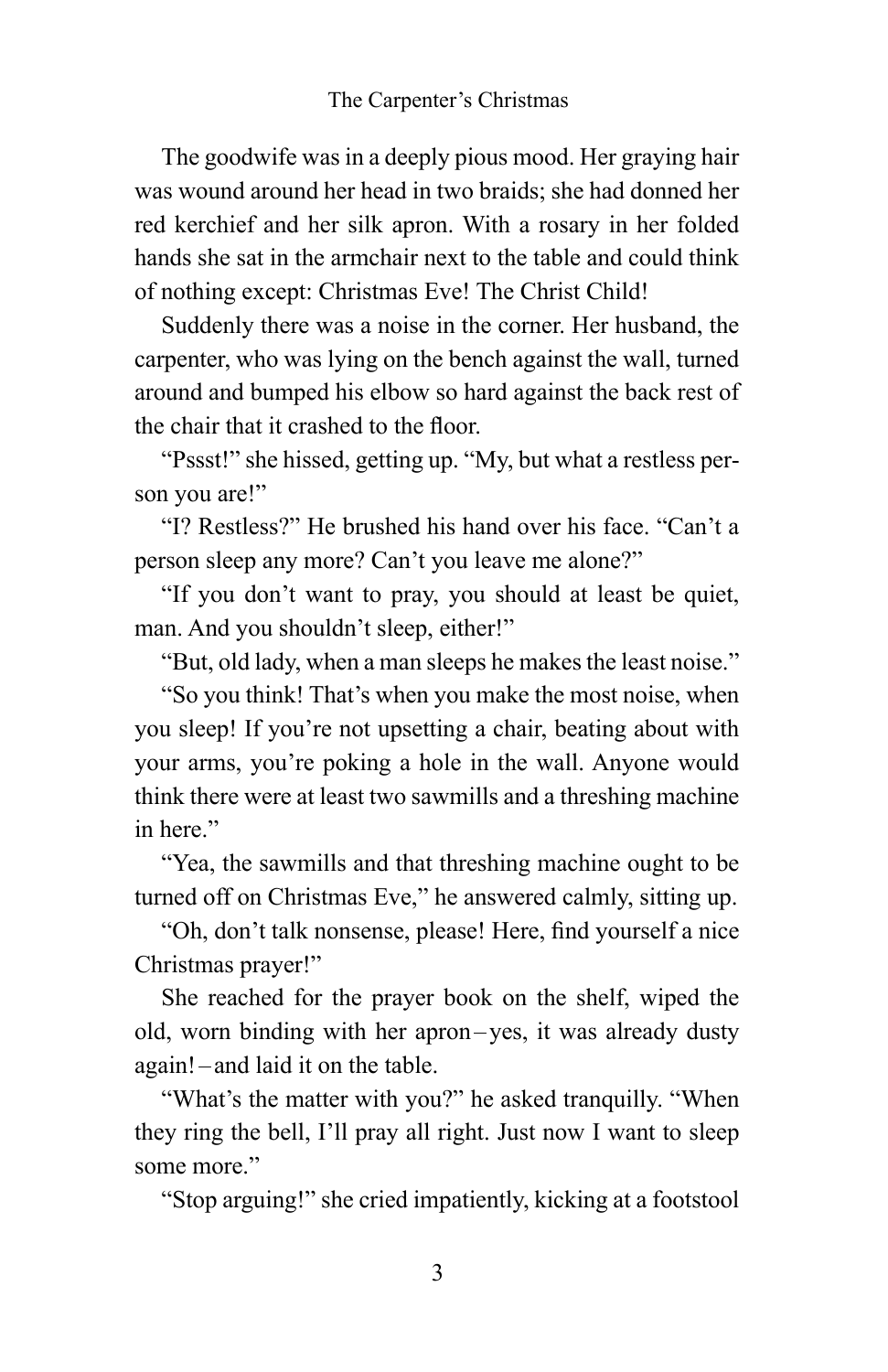The goodwife was in a deeply pious mood. Her graying hair was wound around her head in two braids; she had donned her red kerchief and her silk apron. With a rosary in her folded hands she sat in the armchair next to the table and could think of nothing except: Christmas Eve! The Christ Child!

 Suddenly there was a noise in the corner. Her husband, the carpenter, who was lying on the bench against the wall, turned around and bumped his elbow so hard against the back rest of the chair that it crashed to the floor.

 "Pssst!" she hissed, getting up. "My, but what a restless per-son you are!"

 "I? Restless?" He brushed his hand over his face. "Can't a person sleep any more? Can't you leave me alone?"

 "If you don't want to pray, you should at least be quiet, man. And you shouldn't sleep, either!"

"But, old lady, when a man sleeps he makes the least noise."

 "So you think! That's when you make the most noise, when you sleep! If you're not upsetting a chair, beating about with your arms, you're poking a hole in the wall. Anyone would think there were at least two sawmills and a threshing machine in here."

 "Yea, the sawmills and that threshing machine ought to be turned off on Christmas Eve," he answered calmly, sitting up.

 "Oh, don't talk nonsense, please! Here, find yourself a nice Christmas prayer!"

 She reached for the prayer book on the shelf, wiped the old, worn binding with her apron –yes, it was already dusty again! –and laid it on the table.

 "What's the matter with you?" he asked tranquilly. "When they ring the bell, I'll pray all right. Just now I want to sleep some more."

"Stop arguing!" she cried impatiently, kicking at a footstool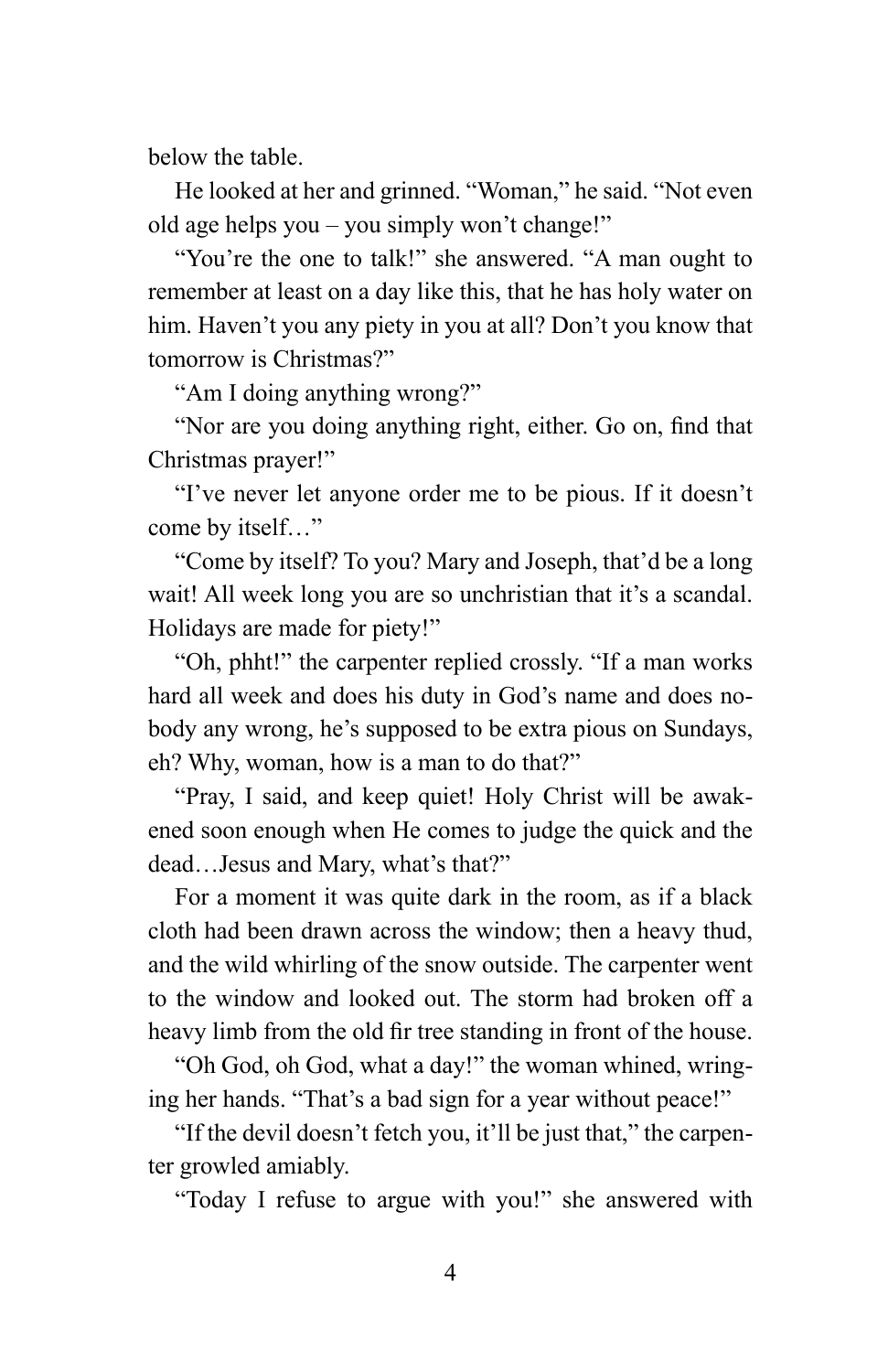below the table.

 He looked at her and grinned. "Woman," he said. "Not even old age helps you – you simply won't change!"

 "You're the one to talk!" she answered. "A man ought to remember at least on a day like this, that he has holy water on him. Haven't you any piety in you at all? Don't you know that tomorrow is Christmas?"

"Am I doing anything wrong?"

 "Nor are you doing anything right, either. Go on, find that Christmas prayer!"

 "I've never let anyone order me to be pious. If it doesn't come by itself…"

 "Come by itself? To you? Mary and Joseph, that'd be a long wait! All week long you are so unchristian that it's a scandal. Holidays are made for piety!"

 "Oh, phht!" the carpenter replied crossly. "If a man works hard all week and does his duty in God's name and does no- body any wrong, he's supposed to be extra pious on Sundays, eh? Why, woman, how is a man to do that?"

 "Pray, I said, and keep quiet! Holy Christ will be awak- ened soon enough when He comes to judge the quick and the dead…Jesus and Mary, what's that?"

 For a moment it was quite dark in the room, as if a black cloth had been drawn across the window; then a heavy thud, and the wild whirling of the snow outside. The carpenter went to the window and looked out. The storm had broken off a heavy limb from the old fir tree standing in front of the house.

 "Oh God, oh God, what a day!" the woman whined, wring-ing her hands. "That's a bad sign for a year without peace!"

 "If the devil doesn't fetch you, it'll be just that," the carpen-ter growled amiably.

"Today I refuse to argue with you!" she answered with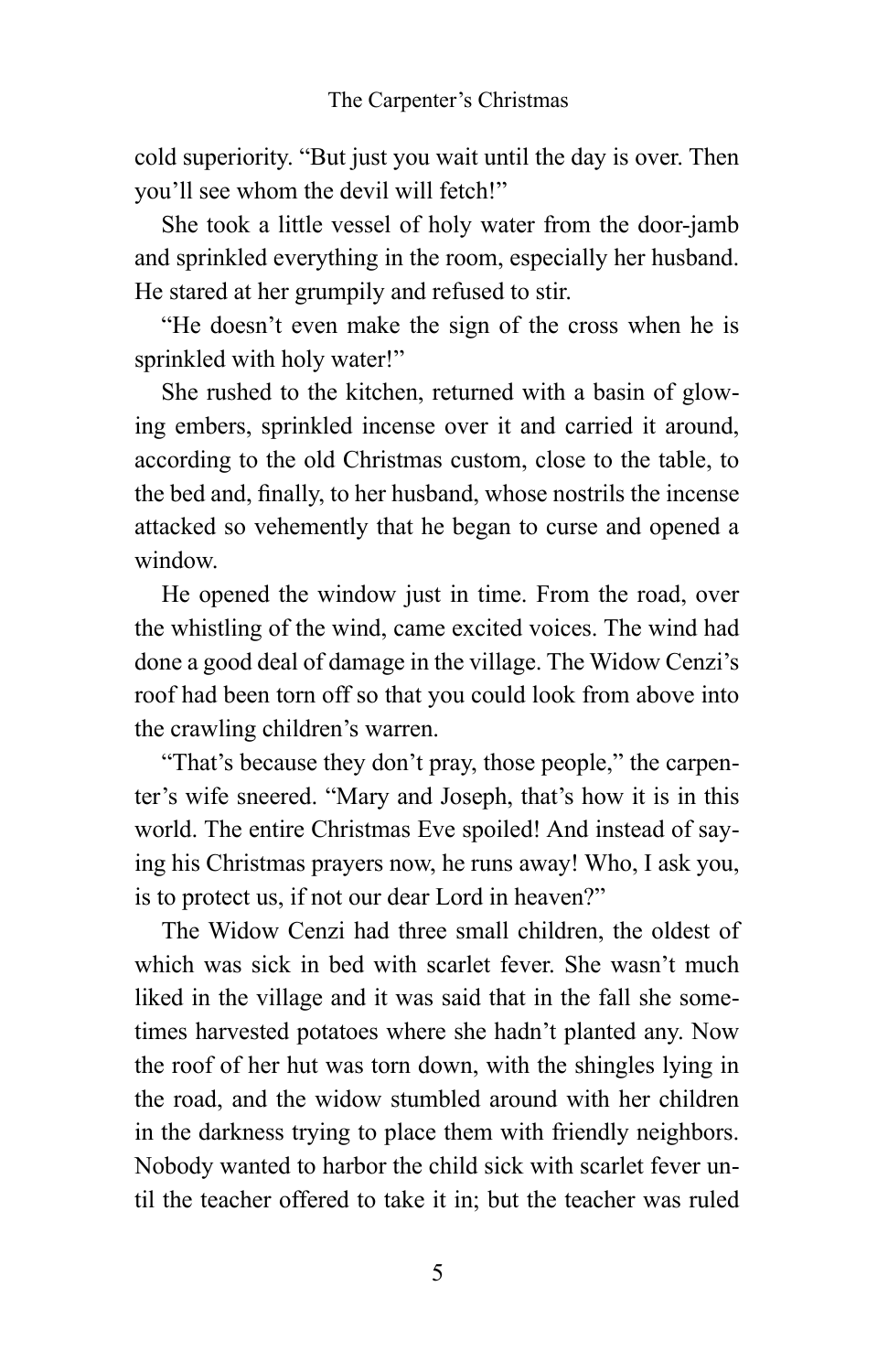cold superiority. "But just you wait until the day is over. Then you'll see whom the devil will fetch!"

 She took a little vessel of holy water from the door-jamb and sprinkled everything in the room, especially her husband. He stared at her grumpily and refused to stir.

 "He doesn't even make the sign of the cross when he is sprinkled with holy water!"

 She rushed to the kitchen, returned with a basin of glow- ing embers, sprinkled incense over it and carried it around, according to the old Christmas custom, close to the table, to the bed and, finally, to her husband, whose nostrils the incense attacked so vehemently that he began to curse and opened a window.

 He opened the window just in time. From the road, over the whistling of the wind, came excited voices. The wind had done a good deal of damage in the village. The Widow Cenzi's roof had been torn off so that you could look from above into the crawling children's warren.

 "That's because they don't pray, those people," the carpen- ter's wife sneered. "Mary and Joseph, that's how it is in this world. The entire Christmas Eve spoiled! And instead of say- ing his Christmas prayers now, he runs away! Who, I ask you, is to protect us, if not our dear Lord in heaven?"

 The Widow Cenzi had three small children, the oldest of which was sick in bed with scarlet fever. She wasn't much liked in the village and it was said that in the fall she some- times harvested potatoes where she hadn't planted any. Now the roof of her hut was torn down, with the shingles lying in the road, and the widow stumbled around with her children in the darkness trying to place them with friendly neighbors. Nobody wanted to harbor the child sick with scarlet fever un-til the teacher offered to take it in; but the teacher was ruled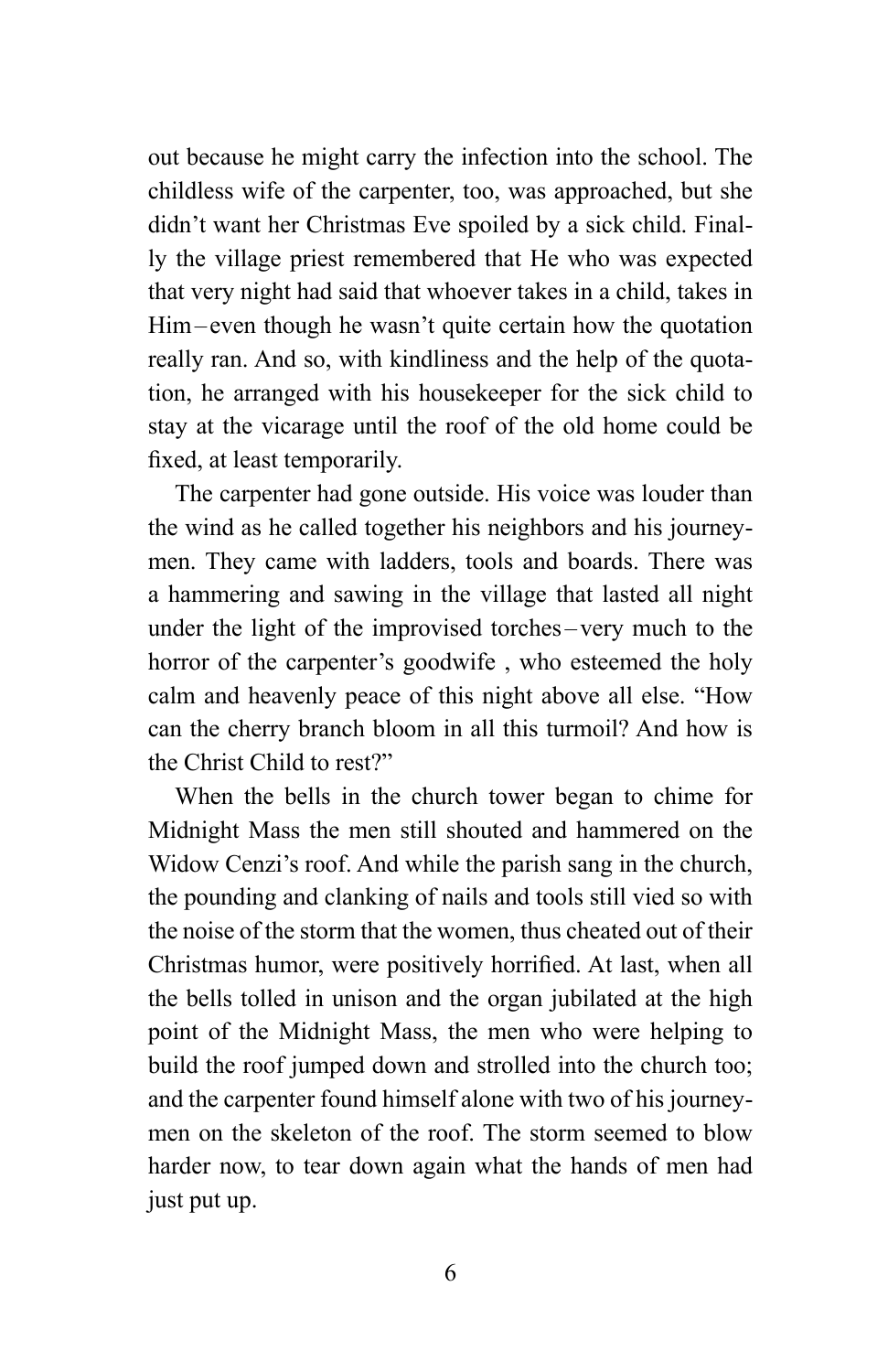out because he might carry the infection into the school. The childless wife of the carpenter, too, was approached, but she didn't want her Christmas Eve spoiled by a sick child. Final- ly the village priest remembered that He who was expected that very night had said that whoever takes in a child, takes in Him–even though he wasn't quite certain how the quotation really ran. And so, with kindliness and the help of the quota- tion, he arranged with his housekeeper for the sick child to stay at the vicarage until the roof of the old home could be fixed, at least temporarily.

 The carpenter had gone outside. His voice was louder than the wind as he called together his neighbors and his journey- men. They came with ladders, tools and boards. There was a hammering and sawing in the village that lasted all night under the light of the improvised torches –very much to the horror of the carpenter's goodwife , who esteemed the holy calm and heavenly peace of this night above all else. "How can the cherry branch bloom in all this turmoil? And how is the Christ Child to rest?"

 When the bells in the church tower began to chime for Midnight Mass the men still shouted and hammered on the Widow Cenzi's roof. And while the parish sang in the church, the pounding and clanking of nails and tools still vied so with the noise of the storm that the women, thus cheated out of their Christmas humor, were positively horrified. At last, when all the bells tolled in unison and the organ jubilated at the high point of the Midnight Mass, the men who were helping to and the carpenter found himself alone with two of his journey- men on the skeleton of the roof. The storm seemed to blow harder now, to tear down again what the hands of men had just put up. build the roof jumped down and strolled into the church too;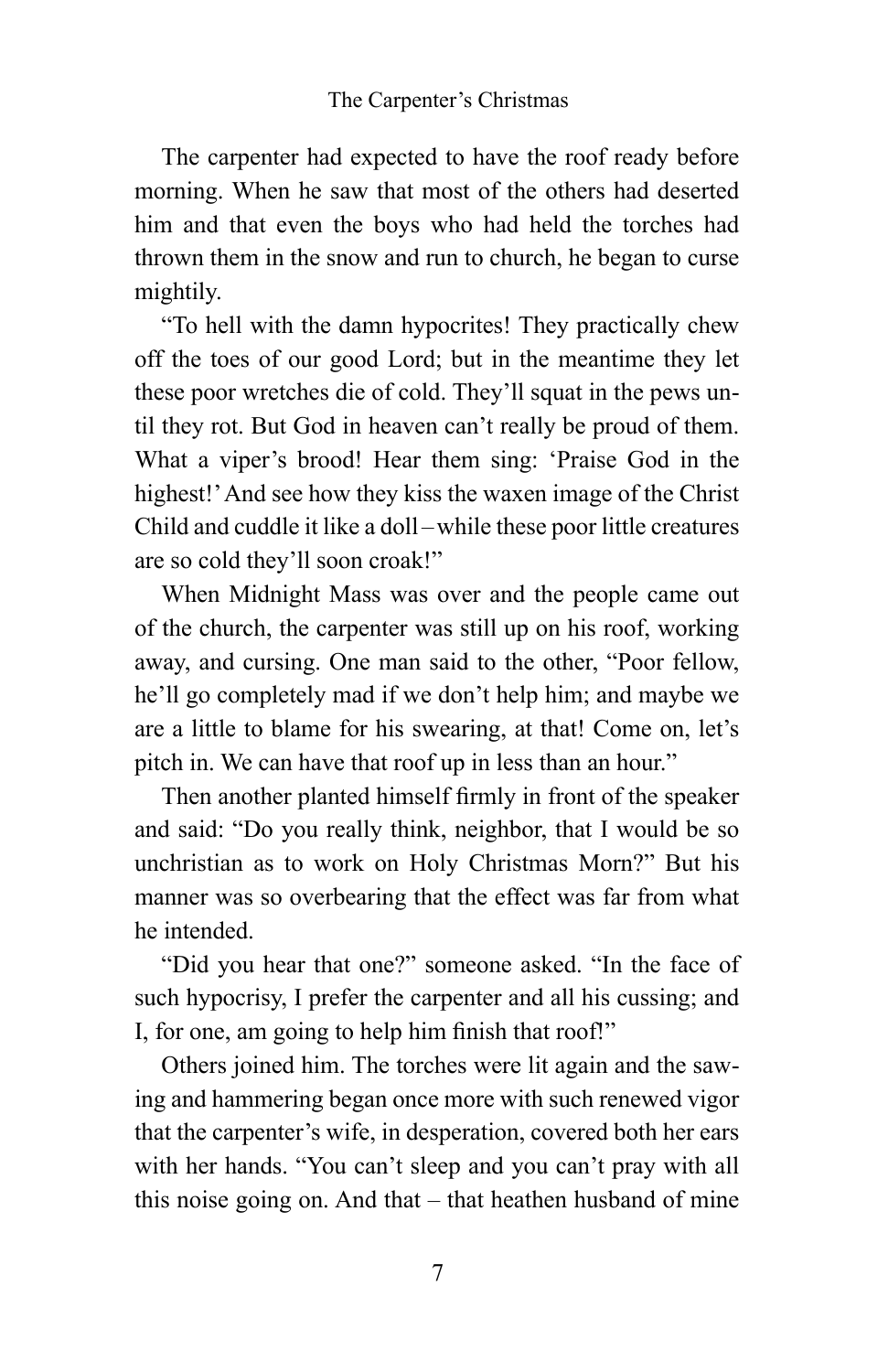The carpenter had expected to have the roof ready before morning. When he saw that most of the others had deserted him and that even the boys who had held the torches had thrown them in the snow and run to church, he began to curse mightily.

 "To hell with the damn hypocrites! They practically chew off the toes of our good Lord; but in the meantime they let these poor wretches die of cold. They'll squat in the pews un- til they rot. But God in heaven can't really be proud of them. What a viper's brood! Hear them sing: 'Praise God in the highest!'And see how they kiss the waxen image of the Christ Child and cuddle it like a doll –while these poor little creatures are so cold they'll soon croak!"

 When Midnight Mass was over and the people came out of the church, the carpenter was still up on his roof, working away, and cursing. One man said to the other, "Poor fellow, he'll go completely mad if we don't help him; and maybe we are a little to blame for his swearing, at that! Come on, let's pitch in. We can have that roof up in less than an hour."

 Then another planted himself firmly in front of the speaker and said: "Do you really think, neighbor, that I would be so unchristian as to work on Holy Christmas Morn?" But his manner was so overbearing that the effect was far from what he intended.

 "Did you hear that one?" someone asked. "In the face of such hypocrisy, I prefer the carpenter and all his cussing; and I, for one, am going to help him finish that roof!"

 Others joined him. The torches were lit again and the saw- ing and hammering began once more with such renewed vigor that the carpenter's wife, in desperation, covered both her ears with her hands. "You can't sleep and you can't pray with all this noise going on. And that – that heathen husband of mine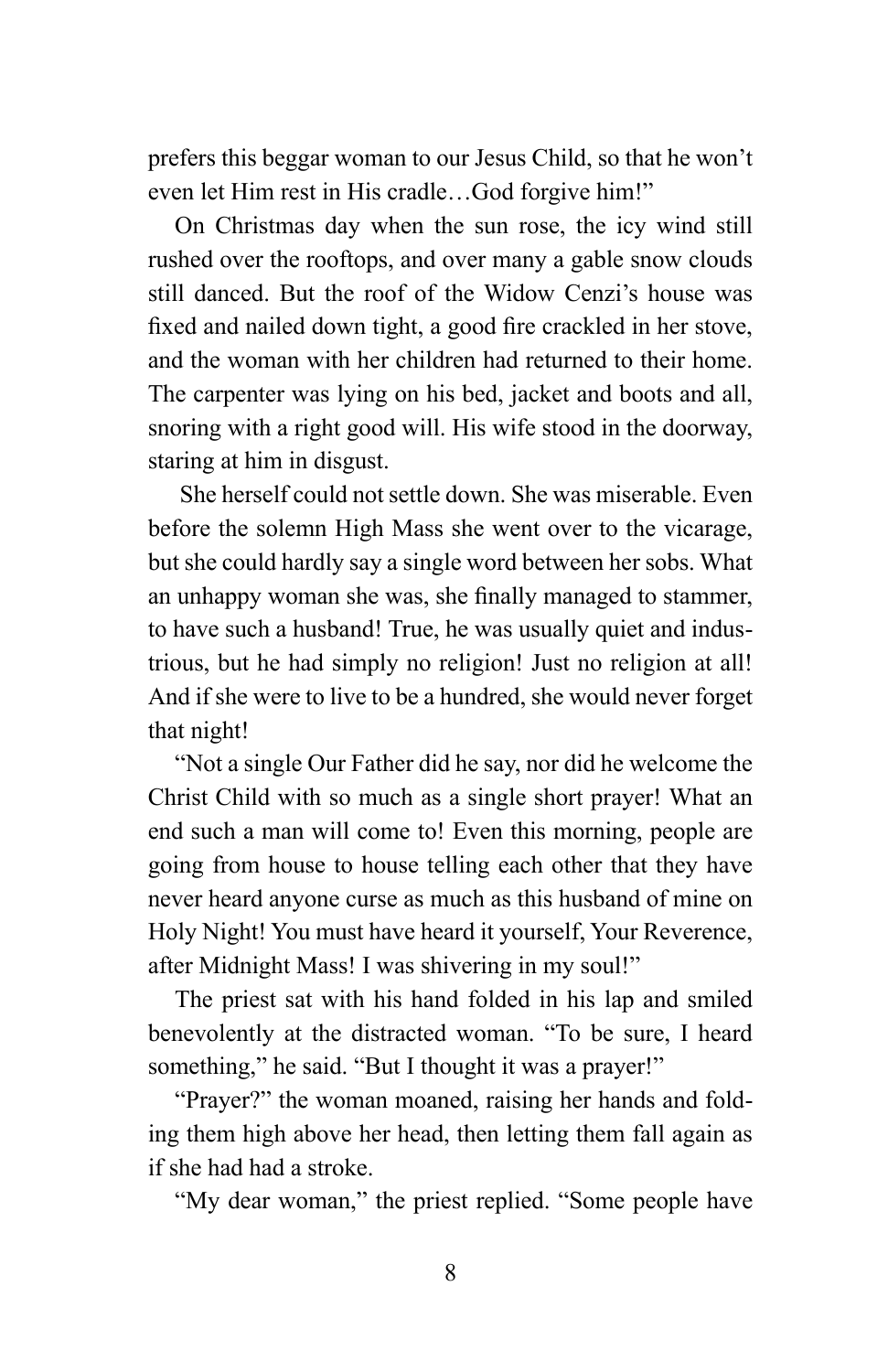prefers this beggar woman to our Jesus Child, so that he won't even let Him rest in His cradle…God forgive him!"

 On Christmas day when the sun rose, the icy wind still rushed over the rooftops, and over many a gable snow clouds still danced. But the roof of the Widow Cenzi's house was fixed and nailed down tight, a good fire crackled in her stove, and the woman with her children had returned to their home. The carpenter was lying on his bed, jacket and boots and all, snoring with a right good will. His wife stood in the doorway, staring at him in disgust.

 She herself could not settle down. She was miserable. Even before the solemn High Mass she went over to the vicarage, but she could hardly say a single word between her sobs. What an unhappy woman she was, she finally managed to stammer, to have such a husband! True, he was usually quiet and indus- trious, but he had simply no religion! Just no religion at all! And if she were to live to be a hundred, she would never forget that night!

 "Not a single Our Father did he say, nor did he welcome the Christ Child with so much as a single short prayer! What an end such a man will come to! Even this morning, people are going from house to house telling each other that they have never heard anyone curse as much as this husband of mine on Holy Night! You must have heard it yourself, Your Reverence, after Midnight Mass! I was shivering in my soul!"

 The priest sat with his hand folded in his lap and smiled benevolently at the distracted woman. "To be sure, I heard something," he said. "But I thought it was a prayer!"

 "Prayer?" the woman moaned, raising her hands and fold- ing them high above her head, then letting them fall again as if she had had a stroke.

"My dear woman," the priest replied. "Some people have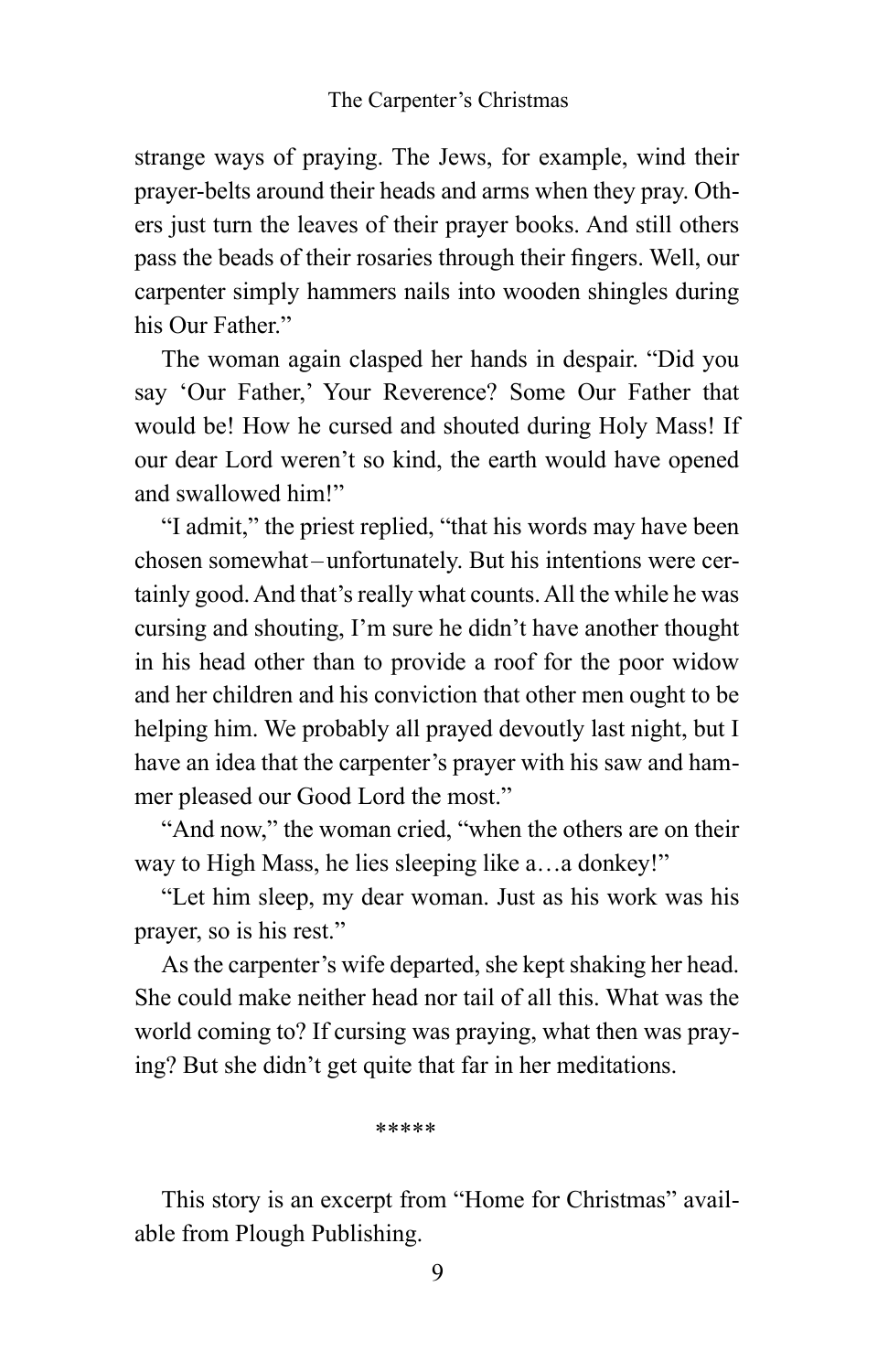strange ways of praying. The Jews, for example, wind their prayer-belts around their heads and arms when they pray. Oth- ers just turn the leaves of their prayer books. And still others pass the beads of their rosaries through their fingers. Well, our carpenter simply hammers nails into wooden shingles during his Our Father."

 The woman again clasped her hands in despair. "Did you say 'Our Father,' Your Reverence? Some Our Father that would be! How he cursed and shouted during Holy Mass! If our dear Lord weren't so kind, the earth would have opened and swallowed him!"

 "I admit," the priest replied, "that his words may have been chosen somewhat –unfortunately. But his intentions were cer- tainly good. And that's really what counts. All the while he was cursing and shouting, I'm sure he didn't have another thought in his head other than to provide a roof for the poor widow and her children and his conviction that other men ought to be have an idea that the carpenter's prayer with his saw and ham- mer pleased our Good Lord the most." helping him. We probably all prayed devoutly last night, but I

 "And now," the woman cried, "when the others are on their way to High Mass, he lies sleeping like a…a donkey!"

 "Let him sleep, my dear woman. Just as his work was his prayer, so is his rest."

 As the carpenter's wife departed, she kept shaking her head. She could make neither head nor tail of all this. What was the world coming to? If cursing was praying, what then was pray-ing? But she didn't get quite that far in her meditations.

\*\*\*\*\*

 This story is an excerpt from "Home for Christmas" available from Plough Publishing.